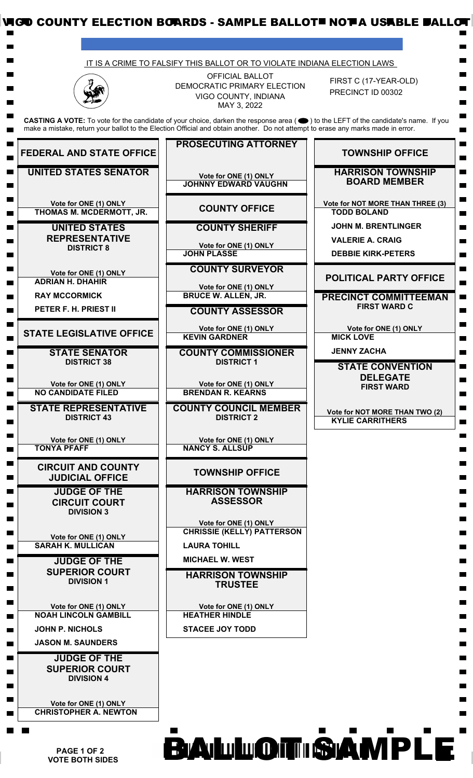